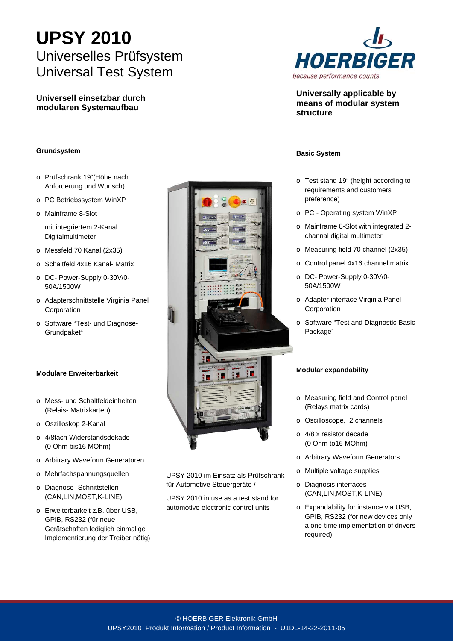# **UPSY 2010**  Universelles Prüfsystem Universal Test System

**Universell einsetzbar durch modularen Systemaufbau** 

## **Grundsystem**

- o Prüfschrank 19"(Höhe nach Anforderung und Wunsch)
- o PC Betriebssystem WinXP
- o Mainframe 8-Slot

mit integriertem 2-Kanal Digitalmultimeter

- o Messfeld 70 Kanal (2x35)
- o Schaltfeld 4x16 Kanal- Matrix
- o DC- Power-Supply 0-30V/0- 50A/1500W
- o Adapterschnittstelle Virginia Panel Corporation
- o Software "Test- und Diagnose-Grundpaket"

# **Modulare Erweiterbarkeit**

- o Mess- und Schaltfeldeinheiten (Relais- Matrixkarten)
- o Oszilloskop 2-Kanal
- o 4/8fach Widerstandsdekade (0 Ohm bis16 MOhm)
- o Arbitrary Waveform Generatoren
- o Mehrfachspannungsquellen
- o Diagnose- Schnittstellen (CAN,LIN,MOST,K-LINE)
- o Erweiterbarkeit z.B. über USB, GPIB, RS232 (für neue Gerätschaften lediglich einmalige Implementierung der Treiber nötig)



UPSY 2010 im Einsatz als Prüfschrank für Automotive Steuergeräte /

UPSY 2010 in use as a test stand for automotive electronic control units



**Universally applicable by means of modular system structure** 

#### **Basic System**

- o Test stand 19" (height according to requirements and customers preference)
- o PC Operating system WinXP
- o Mainframe 8-Slot with integrated 2 channal digital multimeter
- o Measuring field 70 channel (2x35)
- o Control panel 4x16 channel matrix
- o DC- Power-Supply 0-30V/0- 50A/1500W
- o Adapter interface Virginia Panel Corporation
- o Software "Test and Diagnostic Basic Package"

## **Modular expandability**

- o Measuring field and Control panel (Relays matrix cards)
- o Oscilloscope, 2 channels
- o 4/8 x resistor decade (0 Ohm to16 MOhm)
- o Arbitrary Waveform Generators
- o Multiple voltage supplies
- o Diagnosis interfaces (CAN,LIN,MOST,K-LINE)
- o Expandability for instance via USB, GPIB, RS232 (for new devices only a one-time implementation of drivers required)